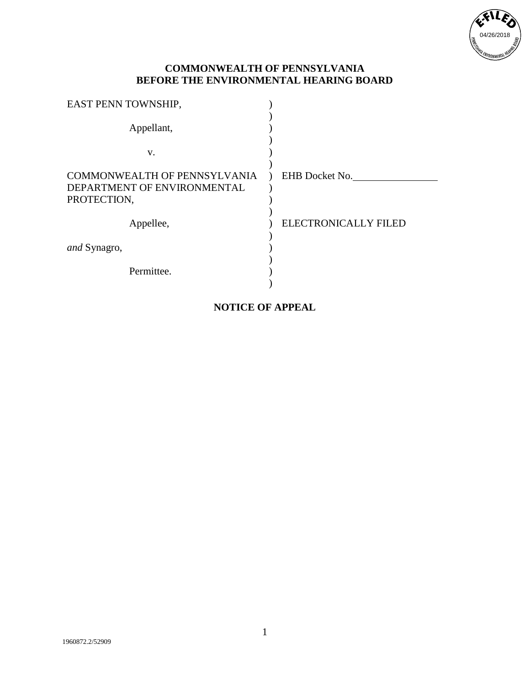

| EAST PENN TOWNSHIP,                                                               |                             |
|-----------------------------------------------------------------------------------|-----------------------------|
| Appellant,                                                                        |                             |
| V.                                                                                |                             |
| <b>COMMONWEALTH OF PENNSYLVANIA</b><br>DEPARTMENT OF ENVIRONMENTAL<br>PROTECTION, | EHB Docket No.              |
| Appellee,                                                                         | <b>ELECTRONICALLY FILED</b> |
| <i>and</i> Synagro,                                                               |                             |
| Permittee.                                                                        |                             |

# **NOTICE OF APPEAL**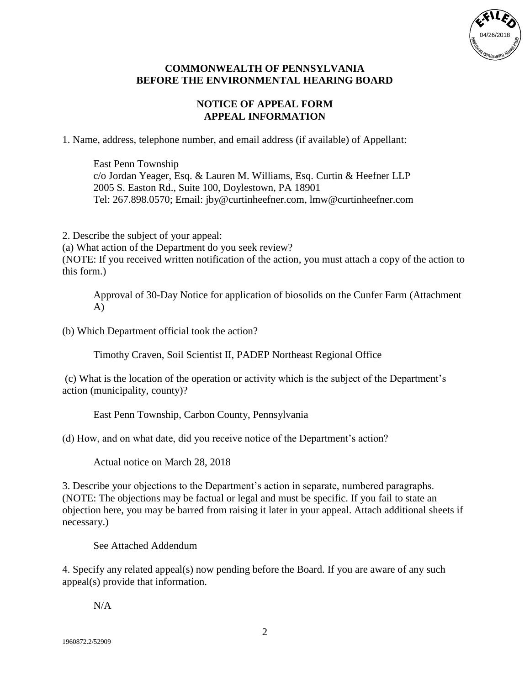

## **NOTICE OF APPEAL FORM APPEAL INFORMATION**

1. Name, address, telephone number, and email address (if available) of Appellant:

East Penn Township c/o Jordan Yeager, Esq. & Lauren M. Williams, Esq. Curtin & Heefner LLP 2005 S. Easton Rd., Suite 100, Doylestown, PA 18901 Tel: 267.898.0570; Email: jby@curtinheefner.com, lmw@curtinheefner.com

2. Describe the subject of your appeal:

(a) What action of the Department do you seek review? (NOTE: If you received written notification of the action, you must attach a copy of the action to this form.)

Approval of 30-Day Notice for application of biosolids on the Cunfer Farm (Attachment A)

(b) Which Department official took the action?

Timothy Craven, Soil Scientist II, PADEP Northeast Regional Office

(c) What is the location of the operation or activity which is the subject of the Department's action (municipality, county)?

East Penn Township, Carbon County, Pennsylvania

(d) How, and on what date, did you receive notice of the Department's action?

Actual notice on March 28, 2018

3. Describe your objections to the Department's action in separate, numbered paragraphs. (NOTE: The objections may be factual or legal and must be specific. If you fail to state an objection here, you may be barred from raising it later in your appeal. Attach additional sheets if necessary.)

See Attached Addendum

4. Specify any related appeal(s) now pending before the Board. If you are aware of any such appeal(s) provide that information.

N/A

1960872.2/52909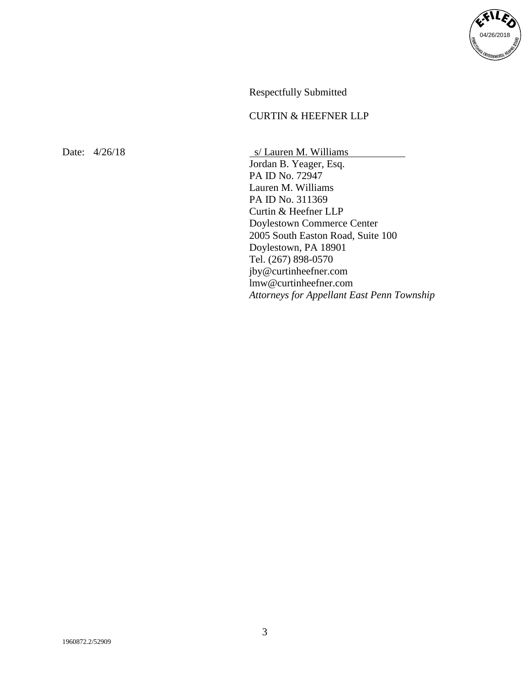

Respectfully Submitted

## CURTIN & HEEFNER LLP

Date:  $4/26/18$  s/ Lauren M. Williams Jordan B. Yeager, Esq. PA ID No. 72947 Lauren M. Williams PA ID No. 311369 Curtin & Heefner LLP Doylestown Commerce Center 2005 South Easton Road, Suite 100 Doylestown, PA 18901 Tel. (267) 898-0570 jby@curtinheefner.com lmw@curtinheefner.com *Attorneys for Appellant East Penn Township*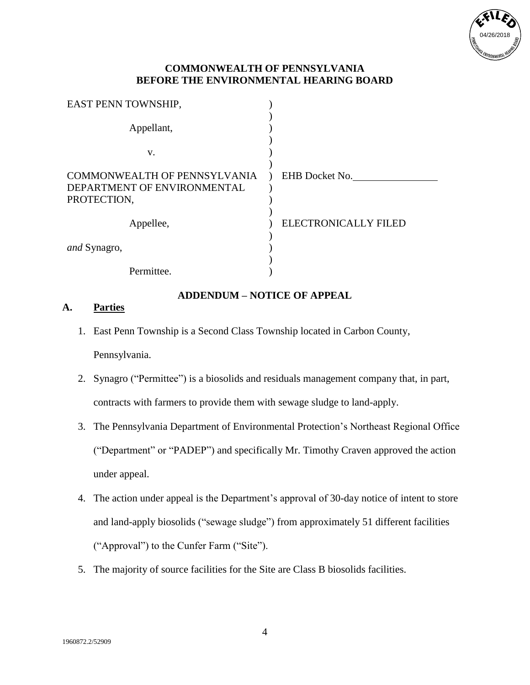

| EAST PENN TOWNSHIP,                                                               |                             |
|-----------------------------------------------------------------------------------|-----------------------------|
| Appellant,                                                                        |                             |
| V.                                                                                |                             |
| <b>COMMONWEALTH OF PENNSYLVANIA</b><br>DEPARTMENT OF ENVIRONMENTAL<br>PROTECTION, | EHB Docket No.              |
| Appellee,                                                                         | <b>ELECTRONICALLY FILED</b> |
| and Synagro,                                                                      |                             |
| Permittee.                                                                        |                             |

### **ADDENDUM – NOTICE OF APPEAL**

#### **A. Parties**

- 1. East Penn Township is a Second Class Township located in Carbon County, Pennsylvania.
- 2. Synagro ("Permittee") is a biosolids and residuals management company that, in part, contracts with farmers to provide them with sewage sludge to land-apply.
- 3. The Pennsylvania Department of Environmental Protection's Northeast Regional Office ("Department" or "PADEP") and specifically Mr. Timothy Craven approved the action under appeal.
- 4. The action under appeal is the Department's approval of 30-day notice of intent to store and land-apply biosolids ("sewage sludge") from approximately 51 different facilities ("Approval") to the Cunfer Farm ("Site").
- 5. The majority of source facilities for the Site are Class B biosolids facilities.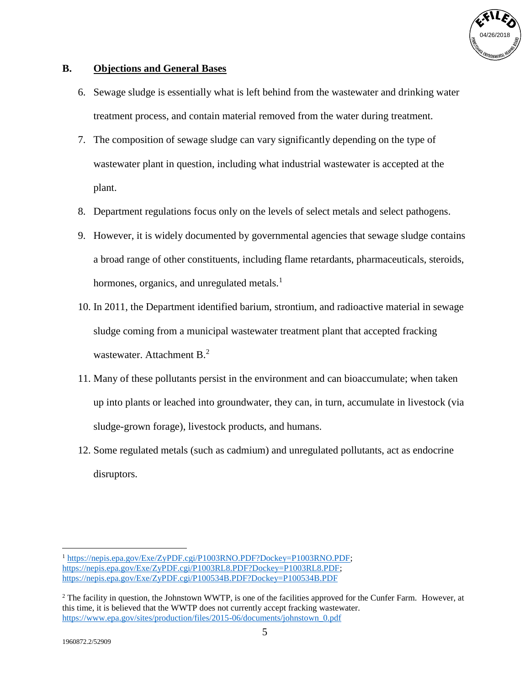

## **B. Objections and General Bases**

- 6. Sewage sludge is essentially what is left behind from the wastewater and drinking water treatment process, and contain material removed from the water during treatment.
- 7. The composition of sewage sludge can vary significantly depending on the type of wastewater plant in question, including what industrial wastewater is accepted at the plant.
- 8. Department regulations focus only on the levels of select metals and select pathogens.
- 9. However, it is widely documented by governmental agencies that sewage sludge contains a broad range of other constituents, including flame retardants, pharmaceuticals, steroids, hormones, organics, and unregulated metals. $<sup>1</sup>$ </sup>
- 10. In 2011, the Department identified barium, strontium, and radioactive material in sewage sludge coming from a municipal wastewater treatment plant that accepted fracking wastewater. Attachment B.<sup>2</sup>
- 11. Many of these pollutants persist in the environment and can bioaccumulate; when taken up into plants or leached into groundwater, they can, in turn, accumulate in livestock (via sludge-grown forage), livestock products, and humans.
- 12. Some regulated metals (such as cadmium) and unregulated pollutants, act as endocrine disruptors.

 $\overline{a}$ <sup>1</sup> [https://nepis.epa.gov/Exe/ZyPDF.cgi/P1003RNO.PDF?Dockey=P1003RNO.PDF;](https://nepis.epa.gov/Exe/ZyPDF.cgi/P1003RNO.PDF?Dockey=P1003RNO.PDF) [https://nepis.epa.gov/Exe/ZyPDF.cgi/P1003RL8.PDF?Dockey=P1003RL8.PDF;](https://nepis.epa.gov/Exe/ZyPDF.cgi/P1003RL8.PDF?Dockey=P1003RL8.PDF) <https://nepis.epa.gov/Exe/ZyPDF.cgi/P100534B.PDF?Dockey=P100534B.PDF>

<sup>&</sup>lt;sup>2</sup> The facility in question, the Johnstown WWTP, is one of the facilities approved for the Cunfer Farm. However, at this time, it is believed that the WWTP does not currently accept fracking wastewater. [https://www.epa.gov/sites/production/files/2015-06/documents/johnstown\\_0.pdf](https://www.epa.gov/sites/production/files/2015-06/documents/johnstown_0.pdf)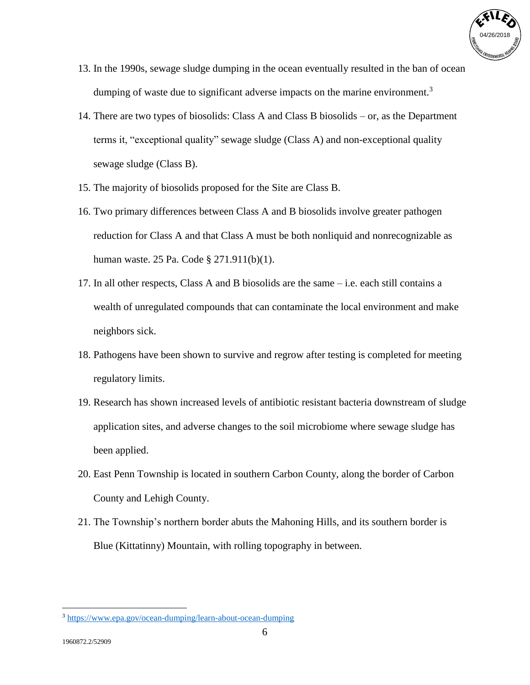

- 13. In the 1990s, sewage sludge dumping in the ocean eventually resulted in the ban of ocean dumping of waste due to significant adverse impacts on the marine environment.<sup>3</sup>
- 14. There are two types of biosolids: Class A and Class B biosolids or, as the Department terms it, "exceptional quality" sewage sludge (Class A) and non-exceptional quality sewage sludge (Class B).
- 15. The majority of biosolids proposed for the Site are Class B.
- 16. Two primary differences between Class A and B biosolids involve greater pathogen reduction for Class A and that Class A must be both nonliquid and nonrecognizable as human waste. 25 Pa. Code § 271.911(b)(1).
- 17. In all other respects, Class A and B biosolids are the same i.e. each still contains a wealth of unregulated compounds that can contaminate the local environment and make neighbors sick.
- 18. Pathogens have been shown to survive and regrow after testing is completed for meeting regulatory limits.
- 19. Research has shown increased levels of antibiotic resistant bacteria downstream of sludge application sites, and adverse changes to the soil microbiome where sewage sludge has been applied.
- 20. East Penn Township is located in southern Carbon County, along the border of Carbon County and Lehigh County.
- 21. The Township's northern border abuts the Mahoning Hills, and its southern border is Blue (Kittatinny) Mountain, with rolling topography in between.

<sup>3</sup> <https://www.epa.gov/ocean-dumping/learn-about-ocean-dumping>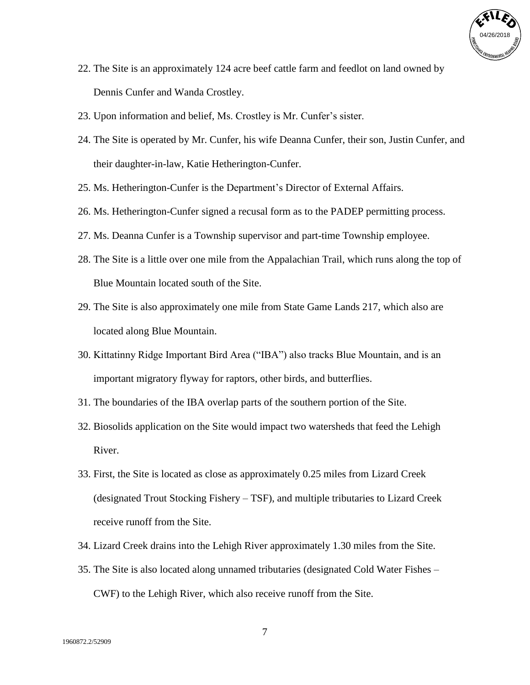

- 22. The Site is an approximately 124 acre beef cattle farm and feedlot on land owned by Dennis Cunfer and Wanda Crostley.
- 23. Upon information and belief, Ms. Crostley is Mr. Cunfer's sister.
- 24. The Site is operated by Mr. Cunfer, his wife Deanna Cunfer, their son, Justin Cunfer, and their daughter-in-law, Katie Hetherington-Cunfer.
- 25. Ms. Hetherington-Cunfer is the Department's Director of External Affairs.
- 26. Ms. Hetherington-Cunfer signed a recusal form as to the PADEP permitting process.
- 27. Ms. Deanna Cunfer is a Township supervisor and part-time Township employee.
- 28. The Site is a little over one mile from the Appalachian Trail, which runs along the top of Blue Mountain located south of the Site.
- 29. The Site is also approximately one mile from State Game Lands 217, which also are located along Blue Mountain.
- 30. Kittatinny Ridge Important Bird Area ("IBA") also tracks Blue Mountain, and is an important migratory flyway for raptors, other birds, and butterflies.
- 31. The boundaries of the IBA overlap parts of the southern portion of the Site.
- 32. Biosolids application on the Site would impact two watersheds that feed the Lehigh River.
- 33. First, the Site is located as close as approximately 0.25 miles from Lizard Creek (designated Trout Stocking Fishery – TSF), and multiple tributaries to Lizard Creek receive runoff from the Site.
- 34. Lizard Creek drains into the Lehigh River approximately 1.30 miles from the Site.
- 35. The Site is also located along unnamed tributaries (designated Cold Water Fishes CWF) to the Lehigh River, which also receive runoff from the Site.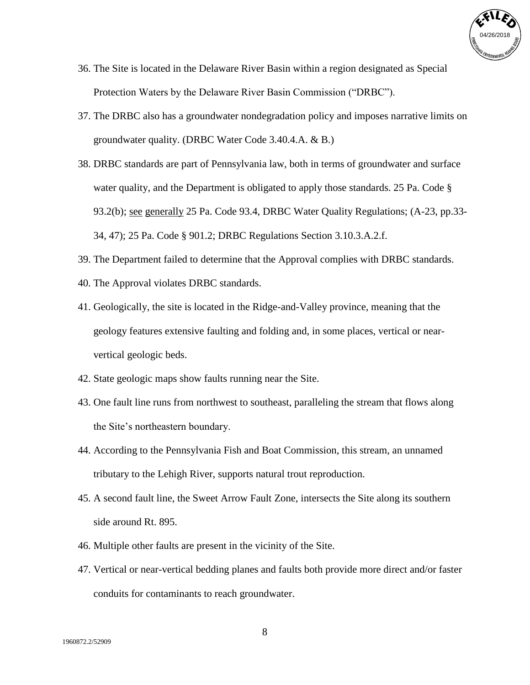

- 36. The Site is located in the Delaware River Basin within a region designated as Special Protection Waters by the Delaware River Basin Commission ("DRBC").
- 37. The DRBC also has a groundwater nondegradation policy and imposes narrative limits on groundwater quality. (DRBC Water Code 3.40.4.A. & B.)
- 38. DRBC standards are part of Pennsylvania law, both in terms of groundwater and surface water quality, and the Department is obligated to apply those standards. 25 Pa. Code § 93.2(b); see generally 25 Pa. Code 93.4, DRBC Water Quality Regulations; (A-23, pp.33- 34, 47); 25 Pa. Code § 901.2; DRBC Regulations Section 3.10.3.A.2.f.
- 39. The Department failed to determine that the Approval complies with DRBC standards.
- 40. The Approval violates DRBC standards.
- 41. Geologically, the site is located in the Ridge-and-Valley province, meaning that the geology features extensive faulting and folding and, in some places, vertical or nearvertical geologic beds.
- 42. State geologic maps show faults running near the Site.
- 43. One fault line runs from northwest to southeast, paralleling the stream that flows along the Site's northeastern boundary.
- 44. According to the Pennsylvania Fish and Boat Commission, this stream, an unnamed tributary to the Lehigh River, supports natural trout reproduction.
- 45. A second fault line, the Sweet Arrow Fault Zone, intersects the Site along its southern side around Rt. 895.
- 46. Multiple other faults are present in the vicinity of the Site.
- 47. Vertical or near-vertical bedding planes and faults both provide more direct and/or faster conduits for contaminants to reach groundwater.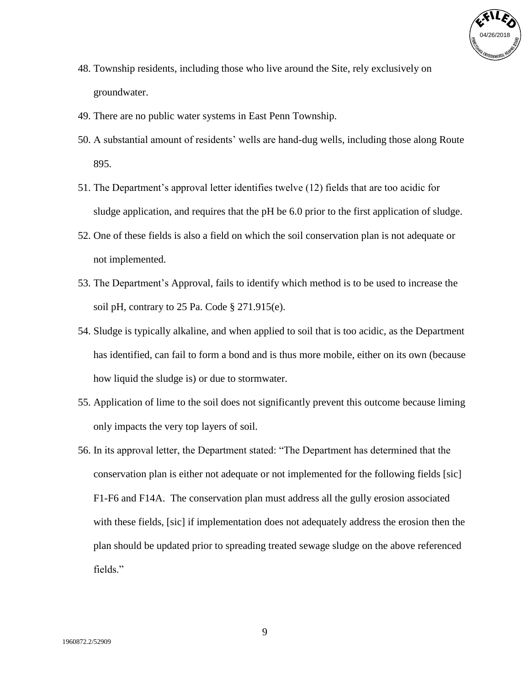

- 48. Township residents, including those who live around the Site, rely exclusively on groundwater.
- 49. There are no public water systems in East Penn Township.
- 50. A substantial amount of residents' wells are hand-dug wells, including those along Route 895.
- 51. The Department's approval letter identifies twelve (12) fields that are too acidic for sludge application, and requires that the pH be 6.0 prior to the first application of sludge.
- 52. One of these fields is also a field on which the soil conservation plan is not adequate or not implemented.
- 53. The Department's Approval, fails to identify which method is to be used to increase the soil pH, contrary to 25 Pa. Code § 271.915(e).
- 54. Sludge is typically alkaline, and when applied to soil that is too acidic, as the Department has identified, can fail to form a bond and is thus more mobile, either on its own (because how liquid the sludge is) or due to stormwater.
- 55. Application of lime to the soil does not significantly prevent this outcome because liming only impacts the very top layers of soil.
- 56. In its approval letter, the Department stated: "The Department has determined that the conservation plan is either not adequate or not implemented for the following fields [sic] F1-F6 and F14A. The conservation plan must address all the gully erosion associated with these fields, [sic] if implementation does not adequately address the erosion then the plan should be updated prior to spreading treated sewage sludge on the above referenced fields."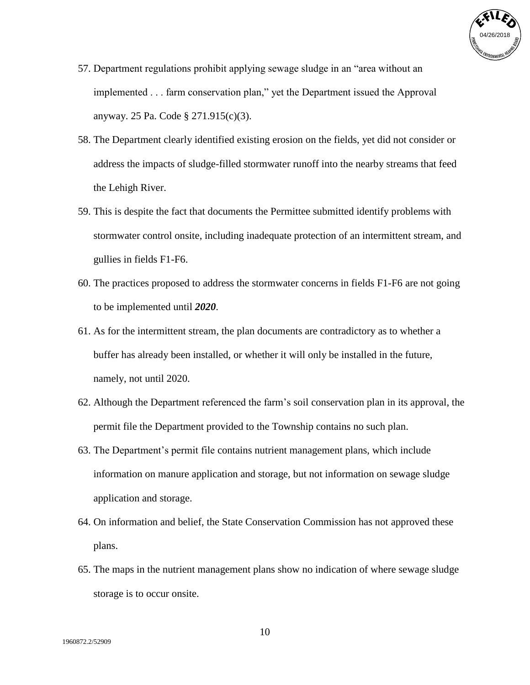

- 57. Department regulations prohibit applying sewage sludge in an "area without an implemented . . . farm conservation plan," yet the Department issued the Approval anyway. 25 Pa. Code § 271.915(c)(3).
- 58. The Department clearly identified existing erosion on the fields, yet did not consider or address the impacts of sludge-filled stormwater runoff into the nearby streams that feed the Lehigh River.
- 59. This is despite the fact that documents the Permittee submitted identify problems with stormwater control onsite, including inadequate protection of an intermittent stream, and gullies in fields F1-F6.
- 60. The practices proposed to address the stormwater concerns in fields F1-F6 are not going to be implemented until *2020*.
- 61. As for the intermittent stream, the plan documents are contradictory as to whether a buffer has already been installed, or whether it will only be installed in the future, namely, not until 2020.
- 62. Although the Department referenced the farm's soil conservation plan in its approval, the permit file the Department provided to the Township contains no such plan.
- 63. The Department's permit file contains nutrient management plans, which include information on manure application and storage, but not information on sewage sludge application and storage.
- 64. On information and belief, the State Conservation Commission has not approved these plans.
- 65. The maps in the nutrient management plans show no indication of where sewage sludge storage is to occur onsite.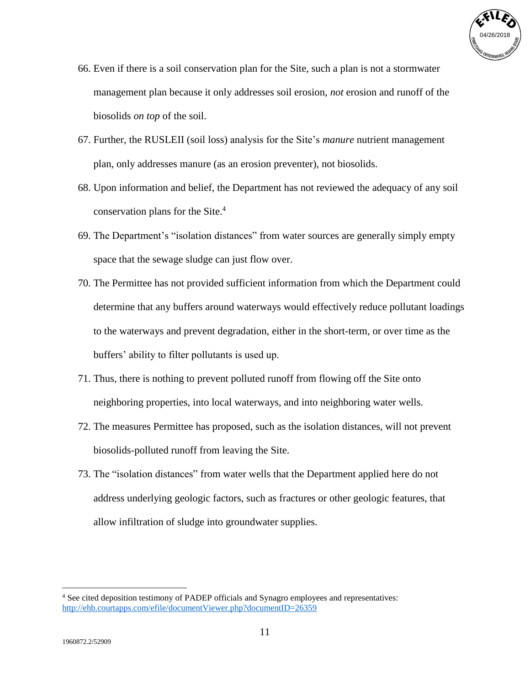

- 66. Even if there is a soil conservation plan for the Site, such a plan is not a stormwater management plan because it only addresses soil erosion, *not* erosion and runoff of the biosolids *on top* of the soil.
- 67. Further, the RUSLEII (soil loss) analysis for the Site's *manure* nutrient management plan, only addresses manure (as an erosion preventer), not biosolids.
- 68. Upon information and belief, the Department has not reviewed the adequacy of any soil conservation plans for the Site. 4
- 69. The Department's "isolation distances" from water sources are generally simply empty space that the sewage sludge can just flow over.
- 70. The Permittee has not provided sufficient information from which the Department could determine that any buffers around waterways would effectively reduce pollutant loadings to the waterways and prevent degradation, either in the short-term, or over time as the buffers' ability to filter pollutants is used up.
- 71. Thus, there is nothing to prevent polluted runoff from flowing off the Site onto neighboring properties, into local waterways, and into neighboring water wells.
- 72. The measures Permittee has proposed, such as the isolation distances, will not prevent biosolids-polluted runoff from leaving the Site.
- 73. The "isolation distances" from water wells that the Department applied here do not address underlying geologic factors, such as fractures or other geologic features, that allow infiltration of sludge into groundwater supplies.

<sup>4</sup> See cited deposition testimony of PADEP officials and Synagro employees and representatives: <http://ehb.courtapps.com/efile/documentViewer.php?documentID=26359>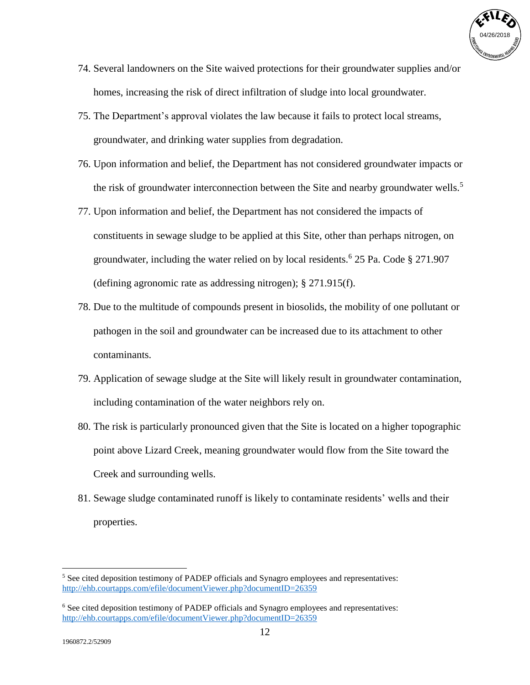

- 74. Several landowners on the Site waived protections for their groundwater supplies and/or homes, increasing the risk of direct infiltration of sludge into local groundwater.
- 75. The Department's approval violates the law because it fails to protect local streams, groundwater, and drinking water supplies from degradation.
- 76. Upon information and belief, the Department has not considered groundwater impacts or the risk of groundwater interconnection between the Site and nearby groundwater wells.<sup>5</sup>
- 77. Upon information and belief, the Department has not considered the impacts of constituents in sewage sludge to be applied at this Site, other than perhaps nitrogen, on groundwater, including the water relied on by local residents.<sup>6</sup> 25 Pa. Code § 271.907 (defining agronomic rate as addressing nitrogen); § 271.915(f).
- 78. Due to the multitude of compounds present in biosolids, the mobility of one pollutant or pathogen in the soil and groundwater can be increased due to its attachment to other contaminants.
- 79. Application of sewage sludge at the Site will likely result in groundwater contamination, including contamination of the water neighbors rely on.
- 80. The risk is particularly pronounced given that the Site is located on a higher topographic point above Lizard Creek, meaning groundwater would flow from the Site toward the Creek and surrounding wells.
- 81. Sewage sludge contaminated runoff is likely to contaminate residents' wells and their properties.

<sup>5</sup> See cited deposition testimony of PADEP officials and Synagro employees and representatives: <http://ehb.courtapps.com/efile/documentViewer.php?documentID=26359>

<sup>6</sup> See cited deposition testimony of PADEP officials and Synagro employees and representatives: <http://ehb.courtapps.com/efile/documentViewer.php?documentID=26359>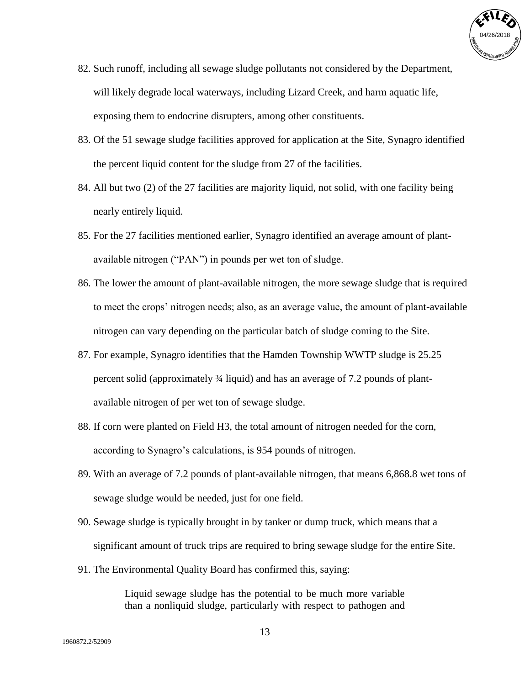

- 82. Such runoff, including all sewage sludge pollutants not considered by the Department, will likely degrade local waterways, including Lizard Creek, and harm aquatic life, exposing them to endocrine disrupters, among other constituents.
- 83. Of the 51 sewage sludge facilities approved for application at the Site, Synagro identified the percent liquid content for the sludge from 27 of the facilities.
- 84. All but two (2) of the 27 facilities are majority liquid, not solid, with one facility being nearly entirely liquid.
- 85. For the 27 facilities mentioned earlier, Synagro identified an average amount of plantavailable nitrogen ("PAN") in pounds per wet ton of sludge.
- 86. The lower the amount of plant-available nitrogen, the more sewage sludge that is required to meet the crops' nitrogen needs; also, as an average value, the amount of plant-available nitrogen can vary depending on the particular batch of sludge coming to the Site.
- 87. For example, Synagro identifies that the Hamden Township WWTP sludge is 25.25 percent solid (approximately ¾ liquid) and has an average of 7.2 pounds of plantavailable nitrogen of per wet ton of sewage sludge.
- 88. If corn were planted on Field H3, the total amount of nitrogen needed for the corn, according to Synagro's calculations, is 954 pounds of nitrogen.
- 89. With an average of 7.2 pounds of plant-available nitrogen, that means 6,868.8 wet tons of sewage sludge would be needed, just for one field.
- 90. Sewage sludge is typically brought in by tanker or dump truck, which means that a significant amount of truck trips are required to bring sewage sludge for the entire Site.
- 91. The Environmental Quality Board has confirmed this, saying:

Liquid sewage sludge has the potential to be much more variable than a nonliquid sludge, particularly with respect to pathogen and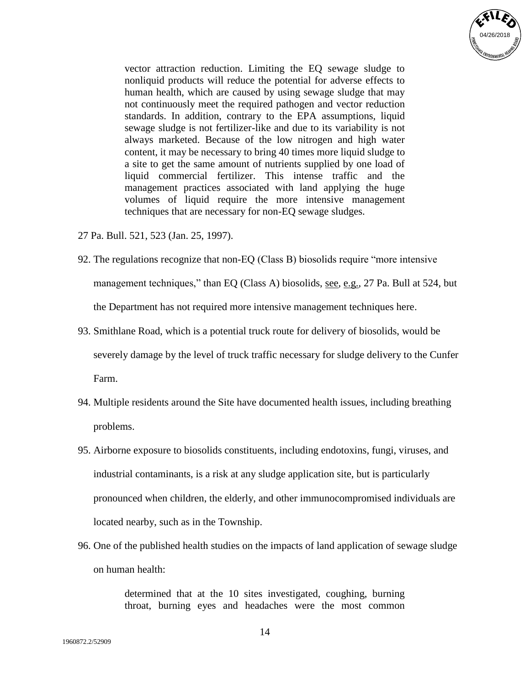

vector attraction reduction. Limiting the EQ sewage sludge to nonliquid products will reduce the potential for adverse effects to human health, which are caused by using sewage sludge that may not continuously meet the required pathogen and vector reduction standards. In addition, contrary to the EPA assumptions, liquid sewage sludge is not fertilizer-like and due to its variability is not always marketed. Because of the low nitrogen and high water content, it may be necessary to bring 40 times more liquid sludge to a site to get the same amount of nutrients supplied by one load of liquid commercial fertilizer. This intense traffic and the management practices associated with land applying the huge volumes of liquid require the more intensive management techniques that are necessary for non-EQ sewage sludges.

- 27 Pa. Bull. 521, 523 (Jan. 25, 1997).
- 92. The regulations recognize that non-EQ (Class B) biosolids require "more intensive management techniques," than EQ (Class A) biosolids, <u>see, e.g.</u>, 27 Pa. Bull at 524, but the Department has not required more intensive management techniques here.
- 93. Smithlane Road, which is a potential truck route for delivery of biosolids, would be severely damage by the level of truck traffic necessary for sludge delivery to the Cunfer Farm.
- 94. Multiple residents around the Site have documented health issues, including breathing problems.
- 95. Airborne exposure to biosolids constituents, including endotoxins, fungi, viruses, and industrial contaminants, is a risk at any sludge application site, but is particularly pronounced when children, the elderly, and other immunocompromised individuals are located nearby, such as in the Township.
- 96. One of the published health studies on the impacts of land application of sewage sludge on human health:

determined that at the 10 sites investigated, coughing, burning throat, burning eyes and headaches were the most common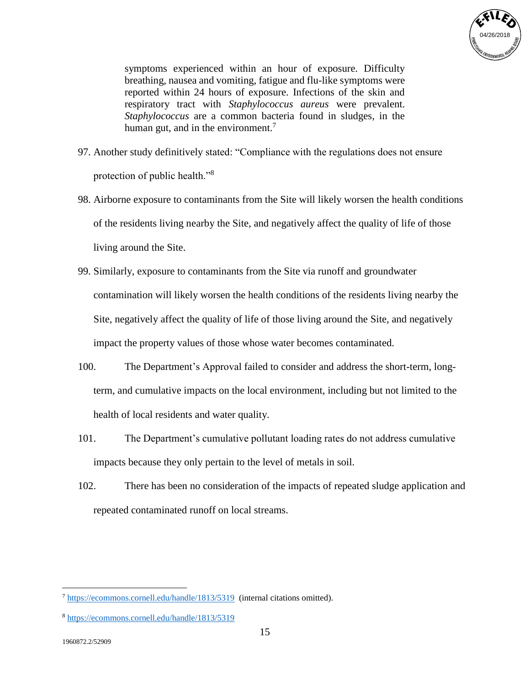

symptoms experienced within an hour of exposure. Difficulty breathing, nausea and vomiting, fatigue and flu-like symptoms were reported within 24 hours of exposure. Infections of the skin and respiratory tract with *Staphylococcus aureus* were prevalent. *Staphylococcus* are a common bacteria found in sludges, in the human gut, and in the environment.<sup>7</sup>

- 97. Another study definitively stated: "Compliance with the regulations does not ensure protection of public health."<sup>8</sup>
- 98. Airborne exposure to contaminants from the Site will likely worsen the health conditions of the residents living nearby the Site, and negatively affect the quality of life of those living around the Site.
- 99. Similarly, exposure to contaminants from the Site via runoff and groundwater contamination will likely worsen the health conditions of the residents living nearby the Site, negatively affect the quality of life of those living around the Site, and negatively impact the property values of those whose water becomes contaminated.
- 100. The Department's Approval failed to consider and address the short-term, longterm, and cumulative impacts on the local environment, including but not limited to the health of local residents and water quality.
- 101. The Department's cumulative pollutant loading rates do not address cumulative impacts because they only pertain to the level of metals in soil.
- 102. There has been no consideration of the impacts of repeated sludge application and repeated contaminated runoff on local streams.

<sup>7</sup> <https://ecommons.cornell.edu/handle/1813/5319>(internal citations omitted).

<sup>8</sup> <https://ecommons.cornell.edu/handle/1813/5319>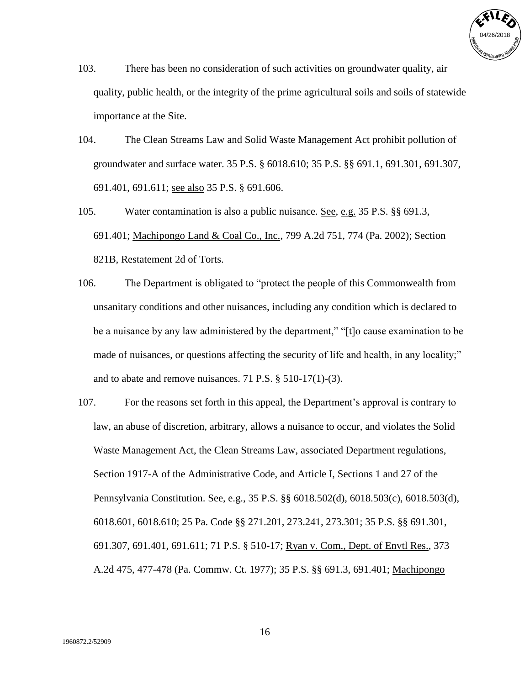

- 103. There has been no consideration of such activities on groundwater quality, air quality, public health, or the integrity of the prime agricultural soils and soils of statewide importance at the Site.
- 104. The Clean Streams Law and Solid Waste Management Act prohibit pollution of groundwater and surface water. 35 P.S. § 6018.610; 35 P.S. §§ 691.1, 691.301, 691.307, 691.401, 691.611; see also 35 P.S. § 691.606.
- 105. Water contamination is also a public nuisance. See, e.g. 35 P.S. §§ 691.3, 691.401; Machipongo Land & Coal Co., Inc., 799 A.2d 751, 774 (Pa. 2002); Section 821B, Restatement 2d of Torts.
- 106. The Department is obligated to "protect the people of this Commonwealth from unsanitary conditions and other nuisances, including any condition which is declared to be a nuisance by any law administered by the department," "[t]o cause examination to be made of nuisances, or questions affecting the security of life and health, in any locality;" and to abate and remove nuisances. 71 P.S. § 510-17(1)-(3).
- 107. For the reasons set forth in this appeal, the Department's approval is contrary to law, an abuse of discretion, arbitrary, allows a nuisance to occur, and violates the Solid Waste Management Act, the Clean Streams Law, associated Department regulations, Section 1917-A of the Administrative Code, and Article I, Sections 1 and 27 of the Pennsylvania Constitution. See, e.g., 35 P.S. §§ 6018.502(d), 6018.503(c), 6018.503(d), 6018.601, 6018.610; 25 Pa. Code §§ 271.201, 273.241, 273.301; 35 P.S. §§ 691.301, 691.307, 691.401, 691.611; 71 P.S. § 510-17; Ryan v. Com., Dept. of Envtl Res., 373 A.2d 475, 477-478 (Pa. Commw. Ct. 1977); 35 P.S. §§ 691.3, 691.401; Machipongo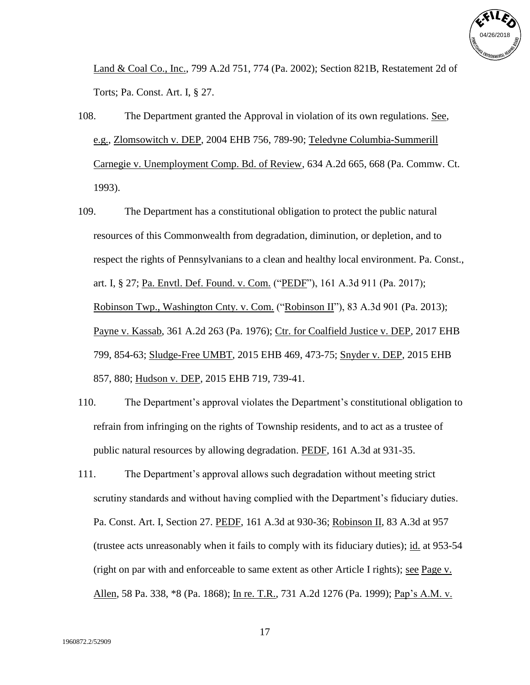

Land & Coal Co., Inc., 799 A.2d 751, 774 (Pa. 2002); Section 821B, Restatement 2d of Torts; Pa. Const. Art. I, § 27.

- 108. The Department granted the Approval in violation of its own regulations. See, e.g., Zlomsowitch v. DEP, 2004 EHB 756, 789-90; Teledyne Columbia-Summerill Carnegie v. Unemployment Comp. Bd. of Review, 634 A.2d 665, 668 (Pa. Commw. Ct. 1993).
- 109. The Department has a constitutional obligation to protect the public natural resources of this Commonwealth from degradation, diminution, or depletion, and to respect the rights of Pennsylvanians to a clean and healthy local environment. Pa. Const., art. I, § 27; Pa. Envtl. Def. Found. v. Com. ("PEDF"), 161 A.3d 911 (Pa. 2017); Robinson Twp., Washington Cnty. v. Com. ("Robinson II"), 83 A.3d 901 (Pa. 2013); Payne v. Kassab, 361 A.2d 263 (Pa. 1976); Ctr. for Coalfield Justice v. DEP, 2017 EHB 799, 854-63; Sludge-Free UMBT, 2015 EHB 469, 473-75; Snyder v. DEP, 2015 EHB 857, 880; Hudson v. DEP, 2015 EHB 719, 739-41.
- 110. The Department's approval violates the Department's constitutional obligation to refrain from infringing on the rights of Township residents, and to act as a trustee of public natural resources by allowing degradation. PEDF, 161 A.3d at 931-35.
- 111. The Department's approval allows such degradation without meeting strict scrutiny standards and without having complied with the Department's fiduciary duties. Pa. Const. Art. I, Section 27. PEDF, 161 A.3d at 930-36; Robinson II, 83 A.3d at 957 (trustee acts unreasonably when it fails to comply with its fiduciary duties); id. at 953-54 (right on par with and enforceable to same extent as other Article I rights); see Page v. Allen, 58 Pa. 338, \*8 (Pa. 1868); In re. T.R., 731 A.2d 1276 (Pa. 1999); Pap's A.M. v.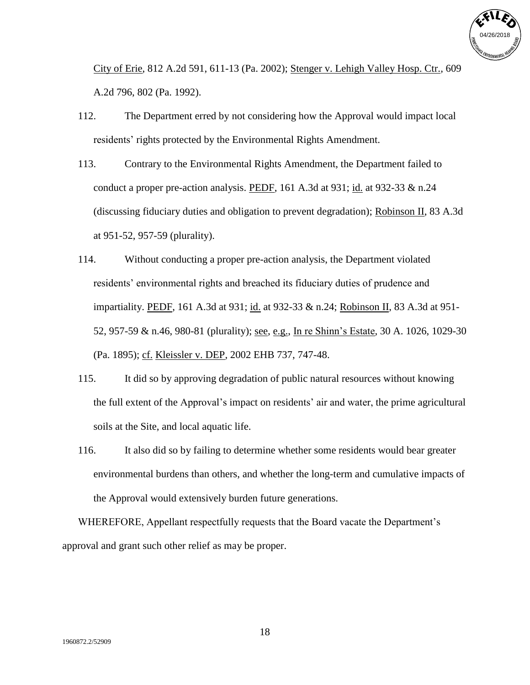

City of Erie, 812 A.2d 591, 611-13 (Pa. 2002); Stenger v. Lehigh Valley Hosp. Ctr., 609 A.2d 796, 802 (Pa. 1992).

- 112. The Department erred by not considering how the Approval would impact local residents' rights protected by the Environmental Rights Amendment.
- 113. Contrary to the Environmental Rights Amendment, the Department failed to conduct a proper pre-action analysis. PEDF, 161 A.3d at 931; id. at 932-33  $\&$  n.24 (discussing fiduciary duties and obligation to prevent degradation); Robinson II, 83 A.3d at 951-52, 957-59 (plurality).
- 114. Without conducting a proper pre-action analysis, the Department violated residents' environmental rights and breached its fiduciary duties of prudence and impartiality. PEDF, 161 A.3d at 931; id. at 932-33 & n.24; Robinson II, 83 A.3d at 951- 52, 957-59 & n.46, 980-81 (plurality); see, e.g., In re Shinn's Estate, 30 A. 1026, 1029-30 (Pa. 1895); cf. Kleissler v. DEP, 2002 EHB 737, 747-48.
- 115. It did so by approving degradation of public natural resources without knowing the full extent of the Approval's impact on residents' air and water, the prime agricultural soils at the Site, and local aquatic life.
- 116. It also did so by failing to determine whether some residents would bear greater environmental burdens than others, and whether the long-term and cumulative impacts of the Approval would extensively burden future generations.

WHEREFORE, Appellant respectfully requests that the Board vacate the Department's approval and grant such other relief as may be proper.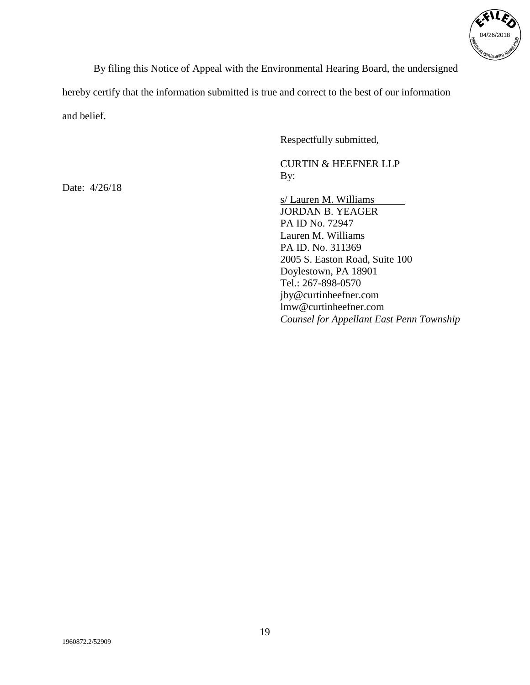

By filing this Notice of Appeal with the Environmental Hearing Board, the undersigned

hereby certify that the information submitted is true and correct to the best of our information and belief.

Respectfully submitted,

CURTIN & HEEFNER LLP By:

s/ Lauren M. Williams JORDAN B. YEAGER PA ID No. 72947 Lauren M. Williams PA ID. No. 311369 2005 S. Easton Road, Suite 100 Doylestown, PA 18901 Tel.: 267-898-0570 jby@curtinheefner.com lmw@curtinheefner.com *Counsel for Appellant East Penn Township*

Date: 4/26/18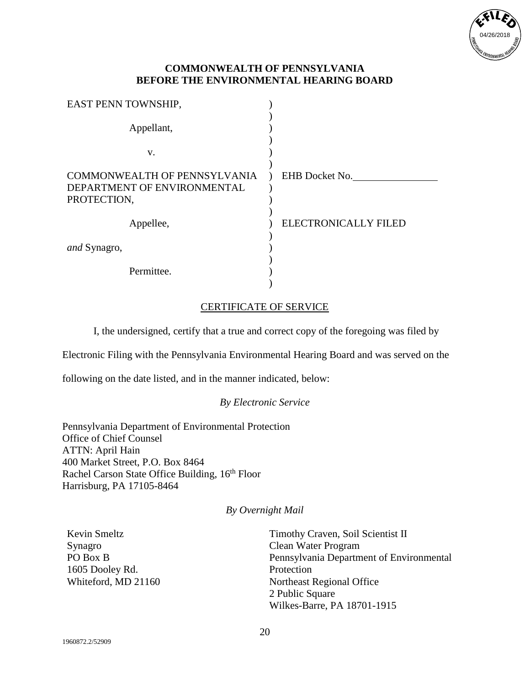

| EAST PENN TOWNSHIP,                        |                             |
|--------------------------------------------|-----------------------------|
| Appellant,                                 |                             |
| V.                                         |                             |
| <b>COMMONWEALTH OF PENNSYLVANIA</b>        | EHB Docket No.              |
| DEPARTMENT OF ENVIRONMENTAL<br>PROTECTION, |                             |
| Appellee,                                  | <b>ELECTRONICALLY FILED</b> |
| <i>and</i> Synagro,                        |                             |
| Permittee.                                 |                             |

### CERTIFICATE OF SERVICE

I, the undersigned, certify that a true and correct copy of the foregoing was filed by

Electronic Filing with the Pennsylvania Environmental Hearing Board and was served on the

following on the date listed, and in the manner indicated, below:

### *By Electronic Service*

Pennsylvania Department of Environmental Protection Office of Chief Counsel ATTN: April Hain 400 Market Street, P.O. Box 8464 Rachel Carson State Office Building, 16<sup>th</sup> Floor Harrisburg, PA 17105-8464

### *By Overnight Mail*

| Kevin Smeltz        |
|---------------------|
| Synagro             |
| PO Box B            |
| 1605 Dooley Rd.     |
| Whiteford, MD 21160 |

Timothy Craven, Soil Scientist II Clean Water Program Pennsylvania Department of Environmental Protection Northeast Regional Office 2 Public Square Wilkes-Barre, PA 18701-1915